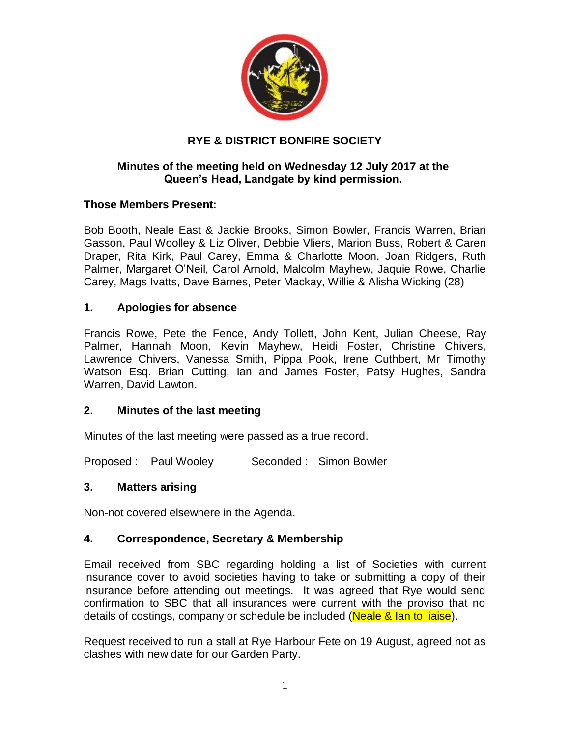

# **RYE & DISTRICT BONFIRE SOCIETY**

## **Minutes of the meeting held on Wednesday 12 July 2017 at the Queen's Head, Landgate by kind permission.**

## **Those Members Present:**

Bob Booth, Neale East & Jackie Brooks, Simon Bowler, Francis Warren, Brian Gasson, Paul Woolley & Liz Oliver, Debbie Vliers, Marion Buss, Robert & Caren Draper, Rita Kirk, Paul Carey, Emma & Charlotte Moon, Joan Ridgers, Ruth Palmer, Margaret O'Neil, Carol Arnold, Malcolm Mayhew, Jaquie Rowe, Charlie Carey, Mags Ivatts, Dave Barnes, Peter Mackay, Willie & Alisha Wicking (28)

## **1. Apologies for absence**

Francis Rowe, Pete the Fence, Andy Tollett, John Kent, Julian Cheese, Ray Palmer, Hannah Moon, Kevin Mayhew, Heidi Foster, Christine Chivers, Lawrence Chivers, Vanessa Smith, Pippa Pook, Irene Cuthbert, Mr Timothy Watson Esq. Brian Cutting, Ian and James Foster, Patsy Hughes, Sandra Warren, David Lawton.

## **2. Minutes of the last meeting**

Minutes of the last meeting were passed as a true record.

Proposed : Paul Wooley Seconded : Simon Bowler

## **3. Matters arising**

Non-not covered elsewhere in the Agenda.

## **4. Correspondence, Secretary & Membership**

Email received from SBC regarding holding a list of Societies with current insurance cover to avoid societies having to take or submitting a copy of their insurance before attending out meetings. It was agreed that Rye would send confirmation to SBC that all insurances were current with the proviso that no details of costings, company or schedule be included (Neale & Ian to liaise).

Request received to run a stall at Rye Harbour Fete on 19 August, agreed not as clashes with new date for our Garden Party.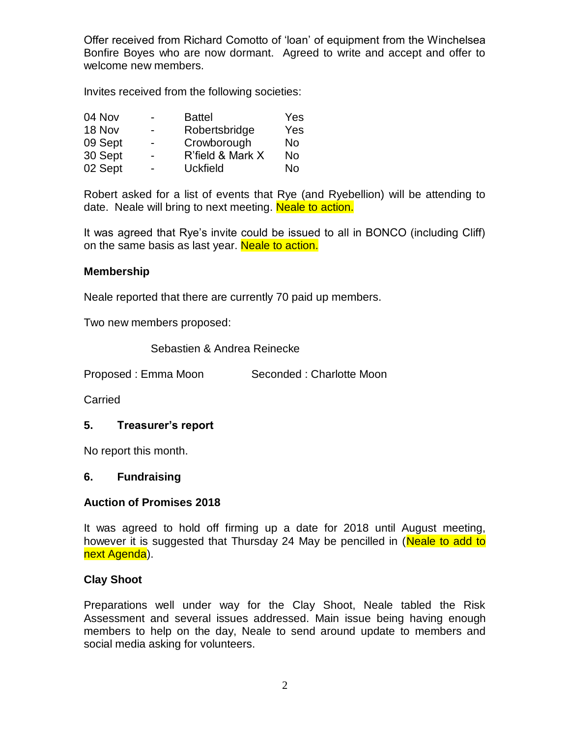Offer received from Richard Comotto of 'loan' of equipment from the Winchelsea Bonfire Boyes who are now dormant. Agreed to write and accept and offer to welcome new members.

Invites received from the following societies:

| 04 Nov  |                          | <b>Battel</b>    | Yes |
|---------|--------------------------|------------------|-----|
| 18 Nov  | Ξ.                       | Robertsbridge    | Yes |
| 09 Sept | $\blacksquare$           | Crowborough      | No  |
| 30 Sept | $\overline{\phantom{0}}$ | R'field & Mark X | No  |
| 02 Sept |                          | <b>Uckfield</b>  | No  |

Robert asked for a list of events that Rye (and Ryebellion) will be attending to date. Neale will bring to next meeting. Neale to action.

It was agreed that Rye's invite could be issued to all in BONCO (including Cliff) on the same basis as last year. Neale to action.

#### **Membership**

Neale reported that there are currently 70 paid up members.

Two new members proposed:

Sebastien & Andrea Reinecke

Proposed : Emma Moon Seconded : Charlotte Moon

Carried

## **5. Treasurer's report**

No report this month.

#### **6. Fundraising**

#### **Auction of Promises 2018**

It was agreed to hold off firming up a date for 2018 until August meeting, however it is suggested that Thursday 24 May be pencilled in (Neale to add to next Agenda).

#### **Clay Shoot**

Preparations well under way for the Clay Shoot, Neale tabled the Risk Assessment and several issues addressed. Main issue being having enough members to help on the day, Neale to send around update to members and social media asking for volunteers.